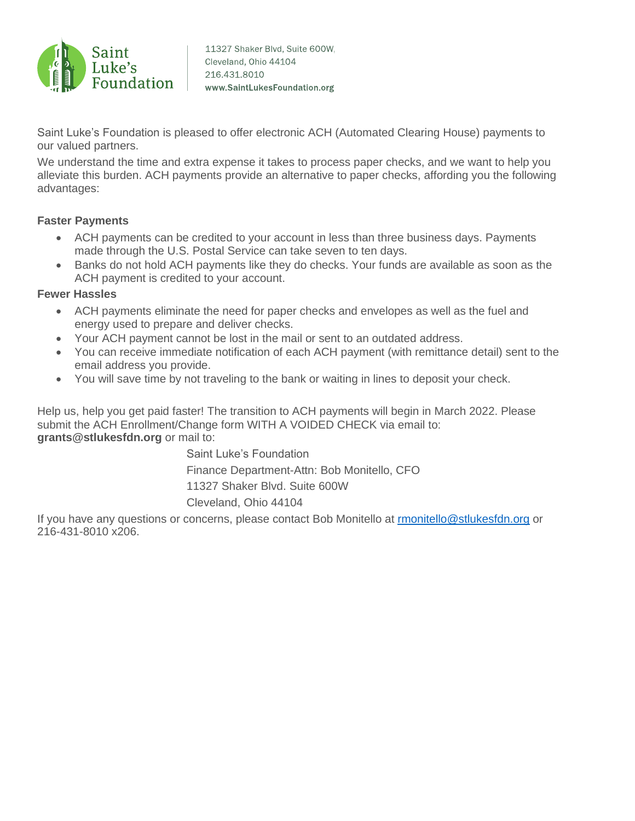

Saint Luke's Foundation is pleased to offer electronic ACH (Automated Clearing House) payments to our valued partners.

We understand the time and extra expense it takes to process paper checks, and we want to help you alleviate this burden. ACH payments provide an alternative to paper checks, affording you the following advantages:

## **Faster Payments**

- ACH payments can be credited to your account in less than three business days. Payments made through the U.S. Postal Service can take seven to ten days.
- Banks do not hold ACH payments like they do checks. Your funds are available as soon as the ACH payment is credited to your account.

## **Fewer Hassles**

- ACH payments eliminate the need for paper checks and envelopes as well as the fuel and energy used to prepare and deliver checks.
- Your ACH payment cannot be lost in the mail or sent to an outdated address.
- You can receive immediate notification of each ACH payment (with remittance detail) sent to the email address you provide.
- You will save time by not traveling to the bank or waiting in lines to deposit your check.

Help us, help you get paid faster! The transition to ACH payments will begin in March 2022. Please submit the ACH Enrollment/Change form WITH A VOIDED CHECK via email to: **grants@stlukesfdn.org** or mail to:

> Saint Luke's Foundation Finance Department-Attn: Bob Monitello, CFO 11327 Shaker Blvd. Suite 600W Cleveland, Ohio 44104

If you have any questions or concerns, please contact Bob Monitello at [rmonitello@stlukesfdn.org](mailto:rmonitello@stlukesfdn.org) or 216-431-8010 x206.